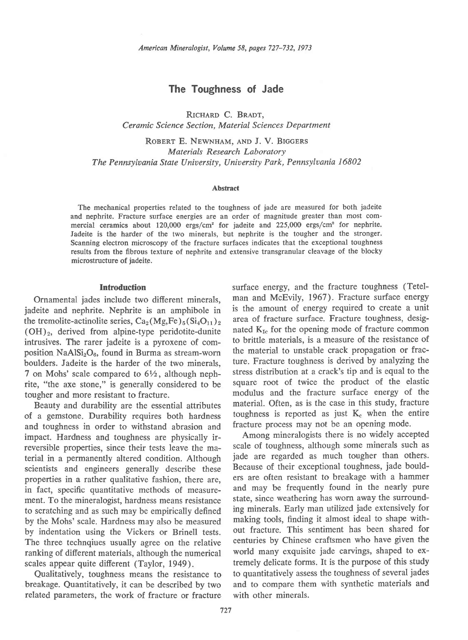# The Toughness of Jade

RICHARD C. BRADT, Ceramic Science Section, Moterial Sciences Department

ROBERT E. NEWNHAM, AND J. V. BIGGERS Materials Research Laboratory The Pennsyluania State Uniuersity, Uniuersity Park, Pennsyluania 16802

### Abstract

The mechanical properties related to the toughness of jade are measured for both jadeite and nephrite. Fracture surface energies are an order of magnitude greater than most commercial ceramics about  $120,000$  ergs/cm<sup>2</sup> for jadeite and  $225,000$  ergs/cm<sup>2</sup> for nephrite. Iadeite is the harder of the two minerals, but nephrite is the tougher and the stronger. Scanning electron microscopy of the fracture surfaces indicates that the exceptional toughness results from the fibrous texture of nephrite and extensive transgranular cleavage of the blocky microstructure of jadeite.

### **Introduction**

Ornamental jades include two different minerals, jadeite and nephrite. Nephrite is an amphibole in the tremolite-actinolite series,  $Ca_2(Mg,Fe)_5(Si_4O_{11})_2$  $(OH)_2$ , derived from alpine-type peridotite-dunite intrusives. The rarer jadeite is a pyroxene of composition  $\text{NaAlSi}_2\text{O}_6$ , found in Burma as stream-worn boulders. Jadeite is the harder of the two minerals, 7 on Mohs' scale compared to  $6\frac{1}{2}$ , although nephrite, "the axe stone," is generally considered to be tougher and more resistant to fracture.

Beauty and durability are the essential attributes of a gemstone. Durability requires both hardness and toughness in order to withstand abrasion and impact. Hardness and toughness are physically irreversible properties, since their tests leave the material in a pennanently altered condition. Although scientists and engineers generally describe these properties in a rather qualitative fashion, there are, in fact, specific quantitative methods of measurement. To the mineralogist, hardness means resistance to scratching and as such may be empirically defined by the Mohs' scale. Hardness may also be measured by indentation using the Vickers or Brinell tests. The three technqiues usually agree on the relative ranking of different materials, although the numerical scales appear quite different (Taylor, 1949).

Qualitatively, toughness means the resistance to breakage. Quantitatively, it can be described by two related parameters, the work of fracture or fracture

surface energy, and the fracture toughness (Tetelman and McEvily, 1967). Fracture surface energy is the amount of energy required to create a unit area of fracture surface. Fracture toughness, designated  $K_{1c}$  for the opening mode of fracture common to brittle materials. is a measure of the resistance of the material to unstable crack propagation or fracture. Fracture toughness is derived by analyzing the stress distribution at a crack's tip and is equal to the square root of twice the product of the elastic modulus and the fracture surface energy of the material. Often, as is the case in this study, fracture toughness is reported as just  $K_c$  when the entire fracture process may not be an opening mode.

Among mineralogists there is no widely accepted scale of toughness, although some minerals such as jade are regarded as much tougher than others. Because of their exceptional toughness, jade boulders are often resistant to breakage with a hammer and may be frequently found in the nearly pure state, since weathering has worn away the surrounding minerals. Early man utilized jade extensively for making tools, finding it almost ideal to shape without fracture. This sentiment has been shared for centuries by Chinese craftsmen who have given the world many exquisite jade carvings, shaped to extremely delicate forms. It is the purpose of this study to quantitatively assess the toughness of several jades and to compare them with synthetic materials and with other minerals.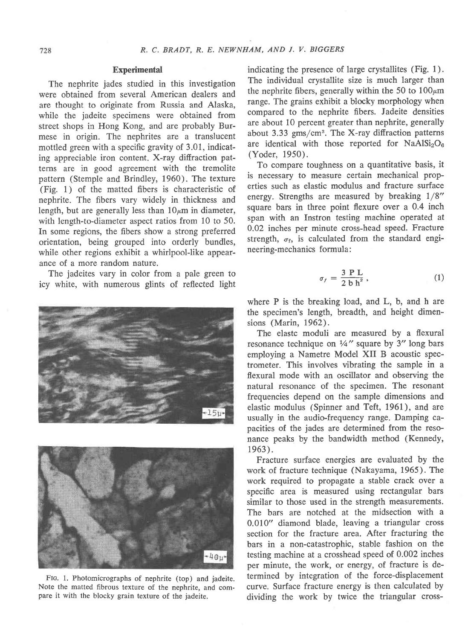# **Experimental**

The nephrite jades studied in this investigation were obtained from several American dealers and are thought to originate from Russia and Alaska, while the jadeite specimens were obtained from street shops in Hong Kong, and are probably Burmese in origin. The nephrites are a translucent mottled green with a specific gravity of 3.01, indicating appreciable iron content. X-ray diftraction patterns are in good agreement with the tremolite pattern (Stemple and Brindley, 1960). The texture (Fig. 1) of the matted fibers is characteristic of nephrite. The fibers vary widely in thickness and length, but are generally less than  $10\mu m$  in diameter, with length-to-diameter aspect ratios from 10 to 50. In some regions, the fibers show a strong preferred orientation, being grouped into orderly bundles, while other regions exhibit a whirlpool-like appearance of a more random nature.

The jadeites vary in color from a pale green to icy white, with numerous glints of reflected light





Fto. l. Photomicrographs of nephrite (top) and jadeite. Note the matted fibrous texture of the nephrite, and compare it with the blocky grain texture of the jadeite.

indicating the presence of large crystallites (Fig. 1). The individual crystallite size is much larger than the nephrite fibers, generally within the 50 to  $100 \mu m$ range. The grains exhibit a blocky morphology when compared to the nephrite fibers. Jadeite densities are about 10 percent greater than nephrite, generally about 3.33 gms/cm3. The X-ray diffraction patterns are identical with those reported for  $NaAlSi<sub>2</sub>O<sub>6</sub>$ (Yoder, 1950).

To compare toughness on a quantitative basis, it is necessary to measure certain mechanical properties such as elastic modulus and fracture surface energy. Strengths are measured by breaking  $1/8$ " square bars in three point flexure over a 0.4 inch span with an Instron testing machine operated at 0.02 inches per minute cross-head speed. Fracture strength,  $\sigma_f$ , is calculated from the standard engineering-mechanics formula :

$$
\sigma_f = \frac{3 \text{ P L}}{2 \text{ b h}^2},\tag{1}
$$

where P is the breaking load, and L, b, and h are the specimen's length, breadth, and height dimensions (Marin, 1962).

The elastc moduli are measured by a flexural resonance technique on  $\frac{1}{4}$ " square by 3" long bars employing a Nametre Model XII B acoustic spectrometer. This involves vibrating the sample in a flexural mode with an oscillator and observing the natural resonance of the specimen. The resonant frequencies depend on the sample dimensions and elastic modulus (Spinner and Teft, 1961), and are usually in the audio-frequency range. Damping capacities of the jades are determined from the resonance peaks by the bandwidth method (Kennedy, 1963).

Fracture surface energies are evaluated by the work of fracture technique (Nakayama, 1965). The work required to propagate a stable crack over a specific area is measured using rectangular bars similar to those used in the strength measurements. The bars are notched at the midsection with a 0.010' diamond blade, leaving a triangular cross section for the fracture area. After fracturing the bars in a non-catastrophic, stable fashion on the testing machine at a crosshead speed of 0.002 inches per minute, the work, or energy, of fracture is determined by integration of the force-displacement curve. Surface fracture energy is then calculated by dividing the work by twice the triangular cross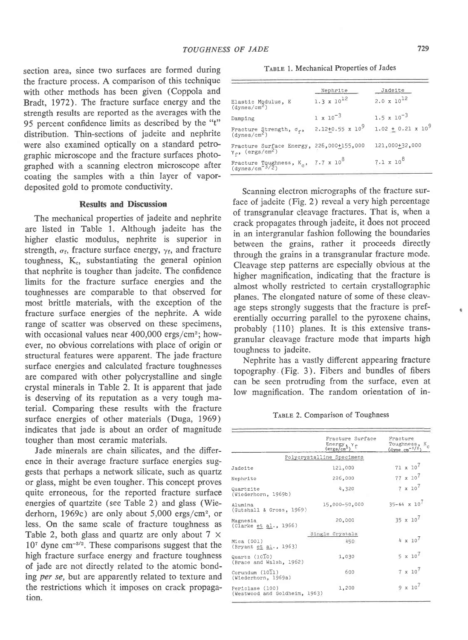section area, since two surfaces are formed during the fracture process. A comparison of this technique with other methods has been given (Coppola and Bradt, 1972). The fracture surface energy and the strength results are reported as the averages with the 95 percent confidence limits as described by the "t" distribution. Thin-sections of jadeite and nephrite were also examined optically on a standard petrographic microscope and the fracture surfaces photographed with a scanning electron microscope after coating the samples with a thin layer of vapordeposited gold to promote conductivity.

## Results and Discussion

The mechanical properties of jadeite and nephrite are listed in Table 1. Although jadeite has the higher elastic modulus, nephrite is superior in strength,  $\sigma_f$ , fracture surface energy,  $\gamma_f$ , and fracture toughness,  $K<sub>e</sub>$ , substantiating the general opinion that nephrite is tougher than jadeite. The confidence limits for the fracture surface energies and the toughnesses are comparable to that observed for most brittle materials, with the exception of the fracture surface energies of the nephrite. A wide range of scatter was observed on these specimens, with occasional values near 400,000 ergs/cm<sup>2</sup>; however, no obvious correlations with place of origin or structural features were apparent. The jade fracture surface energies and calculated fracture toughnesses are compared with other polycrystalline and single crystal minerals in Table 2. It is apparent that jade is deserving of its reputation as a very tough material. Comparing these results with the fracture surface energies of other materials (Duga, 1969) indicates that jade is about an order of magnitude tougher than most ceramic materials.

Jade minerals are chain silicates, and the difference in their average fracture surface energies suggests that perhaps a network silicate, such as quartz or glass, might be even tougher. This concept proves quite erroneous, for the reported fracture surface energies of quartzite (see Table 2) and glass (Wiederhorn, I969c) are only about 5,000 ergs/cm2, or less. On the same scale of fracture toughness as Table 2, both glass and quartz are only about  $7 \times$  $10<sup>7</sup>$  dyne cm<sup>-3/2</sup>. These comparisons suggest that the high fracture surface energy and fracture toughness of jade are not directly related to the atomic bonding per se, but are apparently related to texture and the restrictions which it imposes on crack propagation.

TABLE 1. Mechanical Properties of Jades

|                                                                               | Nephrite                | Jadeite                     |
|-------------------------------------------------------------------------------|-------------------------|-----------------------------|
| Elastic Modulus, E<br>(dynes/cm <sup>2</sup> )                                | $1.3 \times 10^{12}$    | $2.0 \times 10^{12}$        |
| Damping                                                                       | $1 \times 10^{-3}$      | $1.5 \times 10^{-3}$        |
| Fracture Strength, $\sigma_f$ , (dynes/cm <sup>2</sup> )                      | $2.12+0.55 \times 10^9$ | $1.02 + 0.21 \times 10^{9}$ |
| Fracture Surface Energy, 226,000+155,000<br>$Y_{f}$ , (ergs/cm <sup>2</sup> ) |                         | 121,000+32,000              |
| Fracture Toughness, $K_c$ , 7.7 x $10^8$<br>(dynes/cm <sup>-3/2</sup> )       |                         | $7.1 \times 10^{8}$         |

Scanning electron micrographs of the fracture surface of jadeite (Fig. 2) reveal a very high percentage of transgranular cleavage fractures. That is, when a crack propagates through jadeite, it does not proceed in an intergranular fashion following the boundaries between the grains, rather it proceeds directly through the grains in a transgranular fracture mode. Cleavage step patterns are especially obvious at the higher magnification, indicating that the fracture is almost wholly restricted to certain crystallographic planes. The elongated nature of some of these cleavage steps strongly suggests that the fracture is preferentially occurring parallel to the pyroxene chains, probably {110} planes. It is this extensive transgranular cleavage fracture mode that imparts high toughness to jadeite.

Nephrite has a vastly different appearing fracture topography (Fig. 3). Fibers and bundles of fibers can be seen protruding from the surface, even at low magnification. The random orientation of in-

|  |  | TABLE 2. Comparison of Toughness |  |  |  |
|--|--|----------------------------------|--|--|--|
|--|--|----------------------------------|--|--|--|

|                                                       | Fracture Surface<br>$\frac{\text{Energy}}{\text{(ergs/cm}^2)}$ $\gamma_f$ | Fracture<br>Toughness, K <sub>c</sub><br>$(\text{dyne cm}^{-3/2})$ |
|-------------------------------------------------------|---------------------------------------------------------------------------|--------------------------------------------------------------------|
|                                                       | Polycrystalline Specimens                                                 |                                                                    |
| Jadeite                                               | 121,000                                                                   | $71 \times 10^7$                                                   |
| Nephrite                                              | 226,000                                                                   | $77 \times 10^7$                                                   |
| Quartzite<br>(Wiederhorn, 1969b)                      | 4,320                                                                     | $7 \times 10^7$                                                    |
| Alumina<br>(Gutshall & Gross, 1969)                   | 15,000-50,000                                                             | $35 - 64 \times 10^7$                                              |
| Magnesia<br>(Clarke et al., 1966)                     | 20,000                                                                    | $35 \times 10^7$                                                   |
|                                                       | Single Crystals                                                           |                                                                    |
| Mica (001)<br>(Bryant et al., 1963)                   | 450                                                                       | $4 \times 10^7$                                                    |
| $Quartz (10\overline{1}0)$<br>(Brace and Walsh, 1962) | 1,030                                                                     | $5 \times 10^7$                                                    |
| Corundum $(10\overline{1}1)$<br>(Wiederhorn, 1969a)   | 600                                                                       | $7 \times 10^7$                                                    |
| Periclase (100)<br>(Westwood and Goldheim, 1963)      | 1,200                                                                     | $9 \times 10^7$                                                    |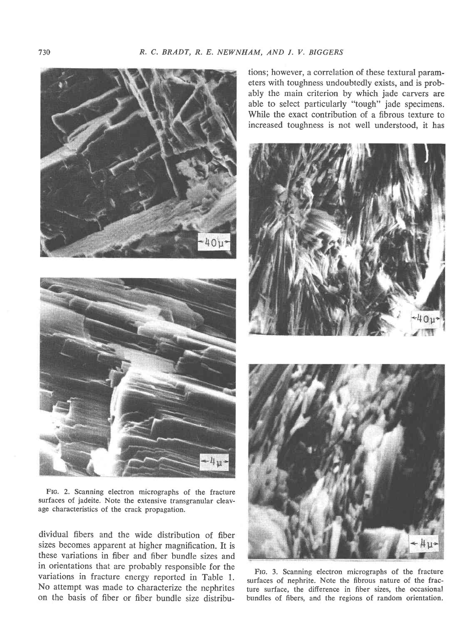



FIc. 2. Scanning electron micrographs of the fracture surfaces of jadeite. Note the extensive transgranular cleavage characteristics of the crack propagation.

dividual fibers and the wide distribution of fiber sizes becomes apparent at higher magnification. It is these variations in fiber and fiber bundle sizes and in orientations that are probably responsible for the variations in fracture energy reported in Table 1. No attempt was made to characterize the nephrites on the basis of fiber or fiber bundle size distribu-

tions; however, a correlation of these textural parameters with toughness undoubtedly exists, and is probably the main criterion by which jade carvers are able to select particularly "tough" jade specimens. While the exact contribution of a fibrous texture to increased toughness is not well understood, it has





Frc. 3. Scanning electron micrographs of the fracture surfaces of nephrite. Note the fibrous nature of the fracture surface, the difference in fiber sizes, the occasional bundles of fibers, and the regions of random orientation.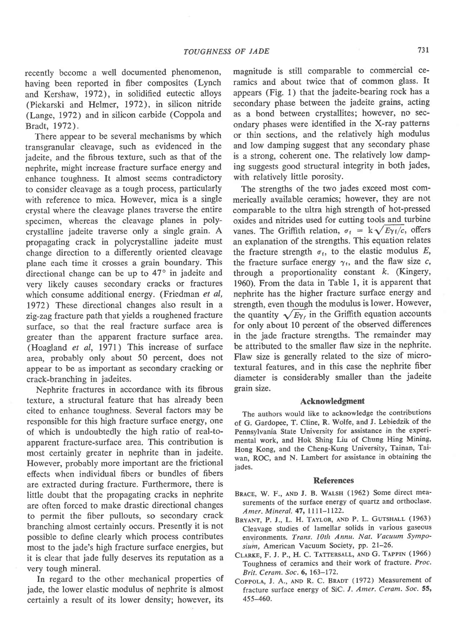recently become a well documented phenomenon, having been reported in fiber composites (Lynch and Kershaw, 1972), in solidified eutectic alloys (Piekarski and Helmer, 1972), in silicon nitride (Lange, 1972) and in silicon carbide (Coppola and Bradt, 1972).

There appear to be several mechanisms by which transgranular cleavage, such as evidenced in the jadeite, and the fibrous texture, such as that of the nephrite, might increase fracture surface energy and enhance toughness. It almost seems contradictory to consider cleavage as a tough process, particularly with reference to mica. However, mica is a single crystal where the cleavage planes traverse the entire specimen, whereas the cleavage planes in polycrystalline jadeite traverse only a single grain. A propagating crack in polycrystalline jadeite must change direction to a differently oriented cleavage plane each time it crosses a grain boundary. This directional change can be up to  $47^{\circ}$  in jadeite and very likely causes secondary cracks or fractures which consume additional energy. (Friedman  $et$   $al$ , 1972) These directional changes also result in a zig-zag fracture path that yields a roughened fracture surface, so that the real fracture surface area is greater than the apparent fracture surface area. (Hoagland et al, l97I) This increase of surface area, probably only about 50 percent, does not appear to be as important as secondary cracking or crack-branching in jadeites.

Nephrite fractures in accordance with its fibrous texture, a structural feature that has already been cited to enhance toughness. Several factors may be responsible for this high fracture surface energy, one of which is undoubtedly the high ratio of real-toapparent fracture-surface area. This contribution is most certainly greater in nephrite than in jadeite. However, probably more important are the frictional effects when individual fibers or bundles of fibers are extracted during fracture. Furthermore, there is little doubt that the propagating cracks in nephrite are often forced to make drastic directional changes to permit the fiber pullouts, so secondary crack branching almost certainly occurs. Fresently it is not possible to define clearly which process contributes most to the jade's high fracture surface energies, but it is clear that jade fully deserves its reputation as a very tough mineral.

In regard to the other mechanical properties of jade, the lower elastic modulus of nephrite is almost certainly a result of its lower density; however, its

magnitude is still comparable to commercial ceramics and about twice that of common glass. It appears (Fig. 1) that the jadeite-bearing rock has a secondary phase between the jadeite grains, acting as a bond between crystallites; however, no secondary phases were identified in the X-ray patterns or thin sections, and the relatively high modulus and low damping suggest that any secondary phase is a strong, coherent one. The relatively low damping suggests good structural integrity in both jades, with relatively little porosity.

The strengths of the two jades exceed most commerically available ceramics; however, they are not comparable to the ultra high strength of hot-pressed oxides and nitrides used for cutting tools and turbine vanes. The Griffith relation,  $\sigma_f = k\sqrt{E\gamma_f/c}$ , offers an explanation of the strengths. This equation relates the fracture strength  $\sigma_i$ , to the elastic modulus E, the fracture surface energy  $\gamma_t$ , and the flaw size c, through a proportionality constant  $k$ . (Kingery, 1960). From the data in Table l, it is apparent that nephrite has the higher fracture surface energy and strength, even though the modulus is lower. However, the quantity  $\sqrt{E\gamma_t}$  in the Griffith equation accounts for only about l0 percent of the observed differences in the jade fracture strengths. The remainder may be attributed to the smaller flaw size in the nephrite. Flaw size is generally related to the size of microtextural features, and in this case the nephrite fiber diameter is considerably smaller than the jadeite grain size.

### Acknowledgment

The authors would like to acknowledge the contributions of G. Gardopee, T. Cline, R. Wolfe, and J. Lebiedzik of the Pennsylvania State University for assistance in the experimental work, and Hok Shing Liu of Chung Hing Mining' Hong Kong, and the Cheng-Kung University, Tainan, Taiwan, ROC, and N. Lambert for assistance in obtaining the jades.

## References

- BRACE, W. F., AND J. B. WALSH (1962) Some direct measurements of the surface energy of quartz and orthoclase. Amer. Mineral. 47, 1111-1122.
- BRYANT, P. J., L. H. TAYLOR, AND P. L. GUTSHALL (1963) Cleavage studies of lamellar solids in various gaseous environments. Trans. 10th Annu. Nat. Vacuum Symposium, American Vacuum Society, pp. 21-26.
- CLARKE, F. J. P., H. C. TATTERSALL, AND G. TAPPIN (1966) Toughness of ceramics and their work of fracture, Proc. Brit. Ceram. Soc. 6, 163-172.
- COPPOLA, J. A., AND R. C. BRADT (1972) Measurement of fracture surface energy of SiC. J. Amer. Ceram. Soc. 55, 455-460.